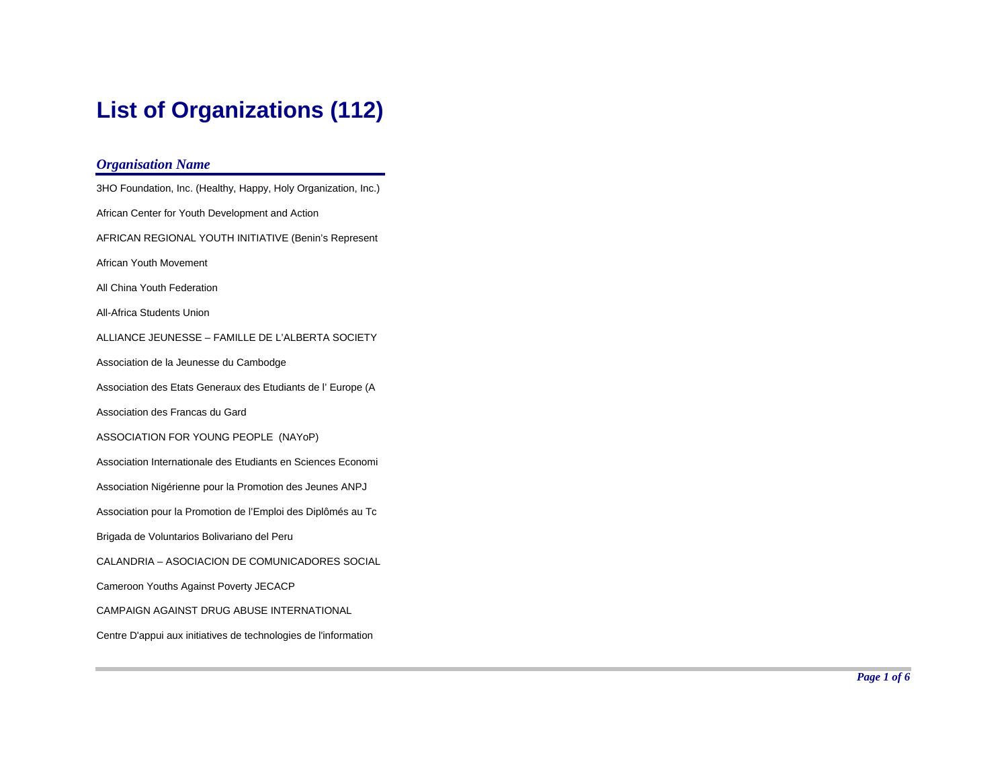# **List of Organizations (112)**

| <b>Organisation Name</b>                                        |
|-----------------------------------------------------------------|
| 3HO Foundation, Inc. (Healthy, Happy, Holy Organization, Inc.)  |
| African Center for Youth Development and Action                 |
| AFRICAN REGIONAL YOUTH INITIATIVE (Benin's Represent            |
| African Youth Movement                                          |
| All China Youth Federation                                      |
| All-Africa Students Union                                       |
| ALLIANCE JEUNESSE - FAMILLE DE L'ALBERTA SOCIETY                |
| Association de la Jeunesse du Cambodge                          |
| Association des Etats Generaux des Etudiants de l'Europe (A     |
| Association des Francas du Gard                                 |
| ASSOCIATION FOR YOUNG PEOPLE (NAYoP)                            |
| Association Internationale des Etudiants en Sciences Economi    |
| Association Nigérienne pour la Promotion des Jeunes ANPJ        |
| Association pour la Promotion de l'Emploi des Diplômés au Tc    |
| Brigada de Voluntarios Bolivariano del Peru                     |
| CALANDRIA - ASOCIACION DE COMUNICADORES SOCIAL                  |
| Cameroon Youths Against Poverty JECACP                          |
| CAMPAIGN AGAINST DRUG ABUSE INTERNATIONAL                       |
| Centre D'appui aux initiatives de technologies de l'information |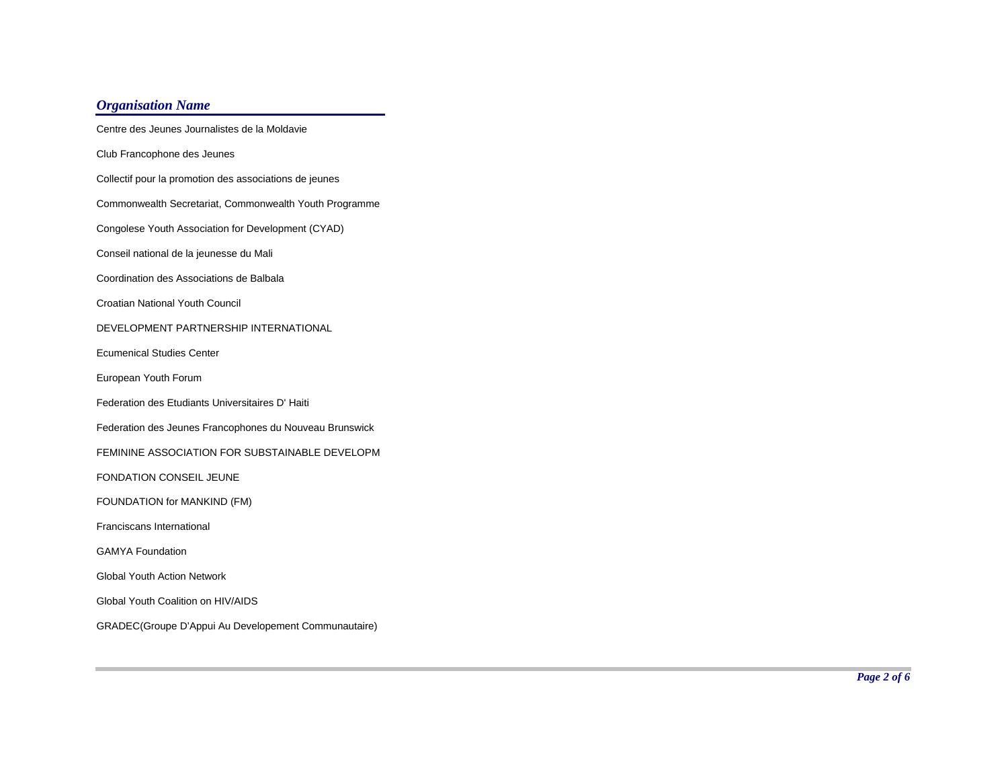Centre des Jeunes Journalistes de la MoldavieClub Francophone des Jeunes Collectif pour la promotion des associations de jeunes Commonwealth Secretariat, Commonwealth Youth Programme Congolese Youth Association for Development (CYAD) Conseil national de la jeunesse du Mali Coordination des Associations de BalbalaCroatian National Youth Council DEVELOPMENT PARTNERSHIP INTERNATIONALEcumenical Studies CenterEuropean Youth Forum Federation des Etudiants Universitaires D' Haiti Federation des Jeunes Francophones du Nouveau Brunswick FEMININE ASSOCIATION FOR SUBSTAINABLE DEVELOPMFONDATION CONSEIL JEUNEFOUNDATION for MANKIND (FM) Franciscans International GAMYA FoundationGlobal Youth Action NetworkGlobal Youth Coalition on HIV/AIDSGRADEC(Groupe D'Appui Au Developement Communautaire)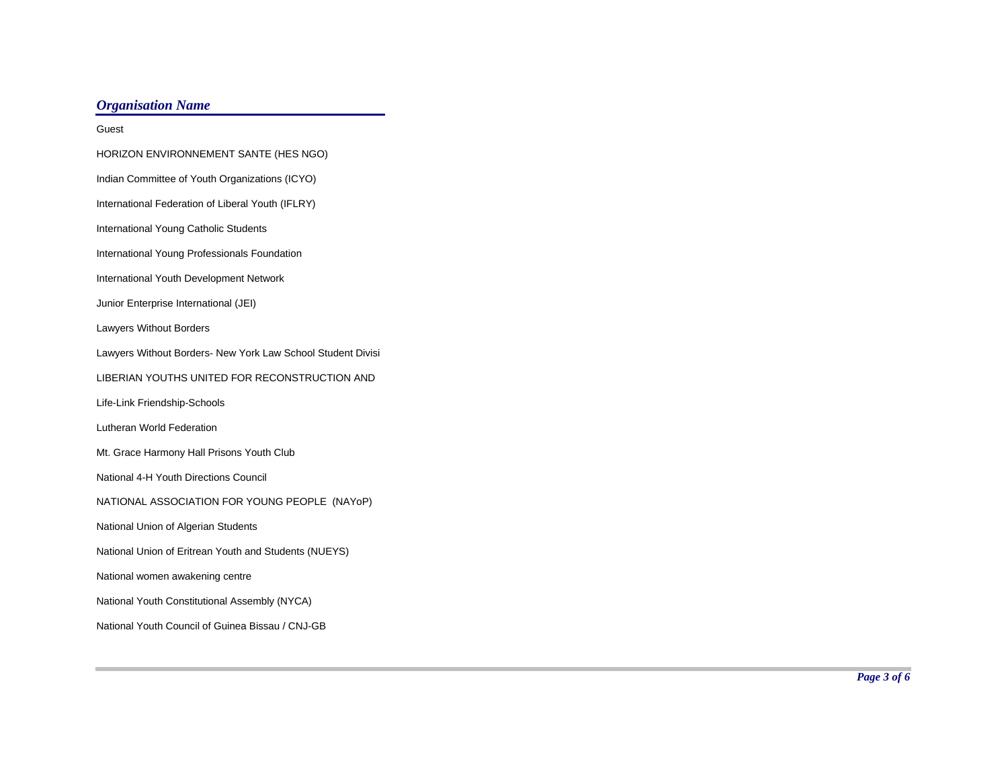| Guest                                                       |
|-------------------------------------------------------------|
| HORIZON ENVIRONNEMENT SANTE (HES NGO)                       |
| Indian Committee of Youth Organizations (ICYO)              |
| International Federation of Liberal Youth (IFLRY)           |
| International Young Catholic Students                       |
| International Young Professionals Foundation                |
| International Youth Development Network                     |
| Junior Enterprise International (JEI)                       |
| <b>Lawyers Without Borders</b>                              |
| Lawyers Without Borders- New York Law School Student Divisi |
| LIBERIAN YOUTHS UNITED FOR RECONSTRUCTION AND               |
| Life-Link Friendship-Schools                                |
| Lutheran World Federation                                   |
| Mt. Grace Harmony Hall Prisons Youth Club                   |
| National 4-H Youth Directions Council                       |
| NATIONAL ASSOCIATION FOR YOUNG PEOPLE (NAYoP)               |
| National Union of Algerian Students                         |
| National Union of Eritrean Youth and Students (NUEYS)       |
| National women awakening centre                             |
| National Youth Constitutional Assembly (NYCA)               |
| National Youth Council of Guinea Bissau / CNJ-GB            |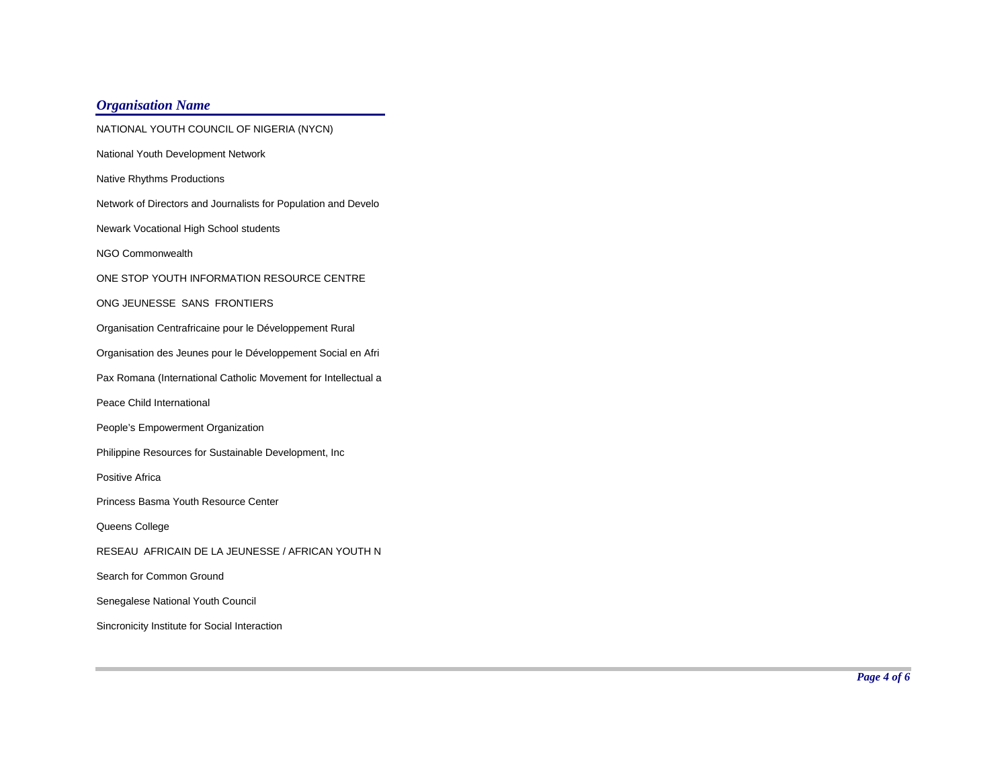| NATIONAL YOUTH COUNCIL OF NIGERIA (NYCN)                       |
|----------------------------------------------------------------|
| National Youth Development Network                             |
| <b>Native Rhythms Productions</b>                              |
| Network of Directors and Journalists for Population and Develo |
| Newark Vocational High School students                         |
| NGO Commonwealth                                               |
| ONE STOP YOUTH INFORMATION RESOURCE CENTRE                     |
| ONG JEUNESSE SANS FRONTIERS                                    |
| Organisation Centrafricaine pour le Développement Rural        |
| Organisation des Jeunes pour le Développement Social en Afri   |
| Pax Romana (International Catholic Movement for Intellectual a |
| Peace Child International                                      |
| People's Empowerment Organization                              |
| Philippine Resources for Sustainable Development, Inc          |
| Positive Africa                                                |
| Princess Basma Youth Resource Center                           |
| Queens College                                                 |
| RESEAU AFRICAIN DE LA JEUNESSE / AFRICAN YOUTH N               |
| Search for Common Ground                                       |
| Senegalese National Youth Council                              |
| Sincronicity Institute for Social Interaction                  |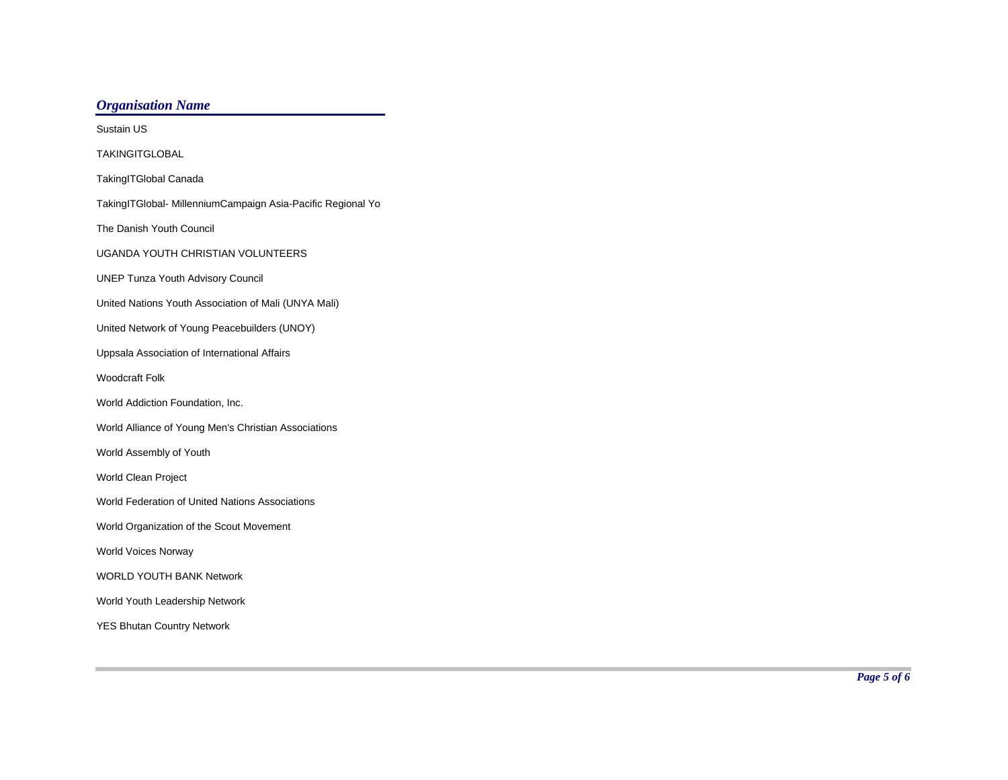Sustain USTAKINGITGLOBALTakingITGlobal Canada TakingITGlobal- MillenniumCampaign Asia-Pacific Regional Yo The Danish Youth Council UGANDA YOUTH CHRISTIAN VOLUNTEERSUNEP Tunza Youth Advisory Council United Nations Youth Association of Mali (UNYA Mali) United Network of Young Peacebuilders (UNOY) Uppsala Association of International Affairs Woodcraft FolkWorld Addiction Foundation, Inc. World Alliance of Young Men's Christian Associations World Assembly of Youth World Clean Project World Federation of United Nations AssociationsWorld Organization of the Scout Movement World Voices Norway WORLD YOUTH BANK NetworkWorld Youth Leadership Network YES Bhutan Country Network